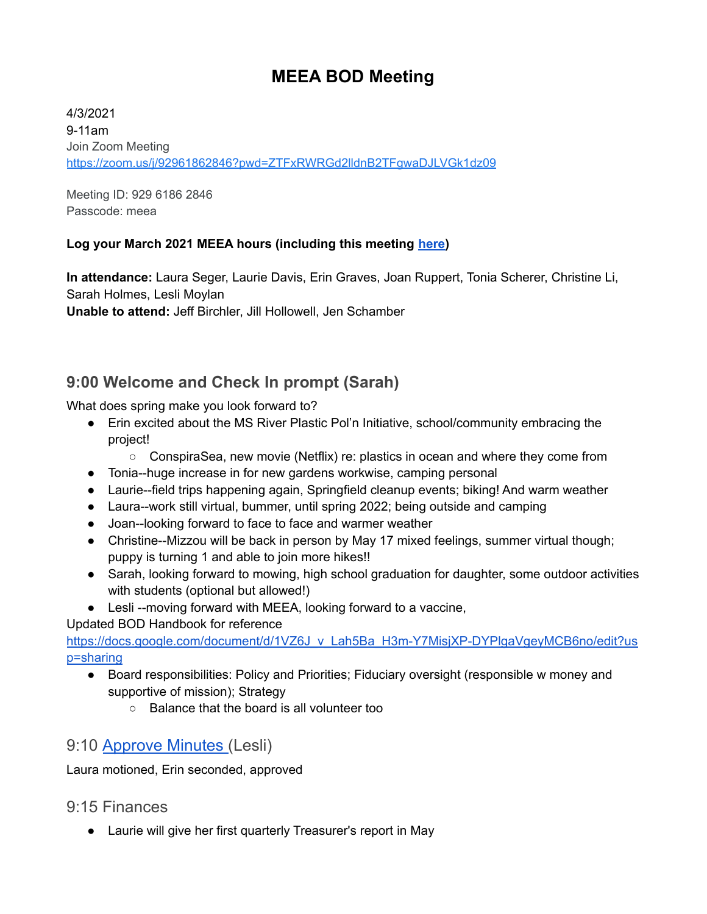# **MEEA BOD Meeting**

4/3/2021 9-11am Join Zoom Meeting <https://zoom.us/j/92961862846?pwd=ZTFxRWRGd2lldnB2TFgwaDJLVGk1dz09>

Meeting ID: 929 6186 2846 Passcode: meea

#### **Log your March 2021 MEEA hours (including this meeting [here\)](https://docs.google.com/forms/d/e/1FAIpQLSeyGs3BdG_sxFAGpjjXzRryj-8Os6pPqOvRnoMgrYpaisbrkw/viewform?usp=sf_link)**

**In attendance:** Laura Seger, Laurie Davis, Erin Graves, Joan Ruppert, Tonia Scherer, Christine Li, Sarah Holmes, Lesli Moylan

**Unable to attend:** Jeff Birchler, Jill Hollowell, Jen Schamber

## **9:00 Welcome and Check In prompt (Sarah)**

What does spring make you look forward to?

- Erin excited about the MS River Plastic Pol'n Initiative, school/community embracing the project!
	- ConspiraSea, new movie (Netflix) re: plastics in ocean and where they come from
- Tonia--huge increase in for new gardens workwise, camping personal
- Laurie--field trips happening again, Springfield cleanup events; biking! And warm weather
- Laura--work still virtual, bummer, until spring 2022; being outside and camping
- Joan--looking forward to face to face and warmer weather
- Christine--Mizzou will be back in person by May 17 mixed feelings, summer virtual though; puppy is turning 1 and able to join more hikes!!
- Sarah, looking forward to mowing, high school graduation for daughter, some outdoor activities with students (optional but allowed!)
- Lesli --moving forward with MEEA, looking forward to a vaccine,

#### Updated BOD Handbook for reference

[https://docs.google.com/document/d/1VZ6J\\_v\\_Lah5Ba\\_H3m-Y7MisjXP-DYPlgaVgeyMCB6no/edit?us](https://docs.google.com/document/d/1VZ6J_v_Lah5Ba_H3m-Y7MisjXP-DYPlgaVgeyMCB6no/edit?usp=sharing) [p=sharing](https://docs.google.com/document/d/1VZ6J_v_Lah5Ba_H3m-Y7MisjXP-DYPlgaVgeyMCB6no/edit?usp=sharing)

- Board responsibilities: Policy and Priorities; Fiduciary oversight (responsible w money and supportive of mission); Strategy
	- Balance that the board is all volunteer too

### 9:10 [Approve](https://docs.google.com/document/d/1MCE4jyV4QL3qJ23R0RxsMD8jlC_Y98D2bjEZmscGFKU/edit?usp=sharing) Minutes (Lesli)

Laura motioned, Erin seconded, approved

### 9:15 Finances

● Laurie will give her first quarterly Treasurer's report in May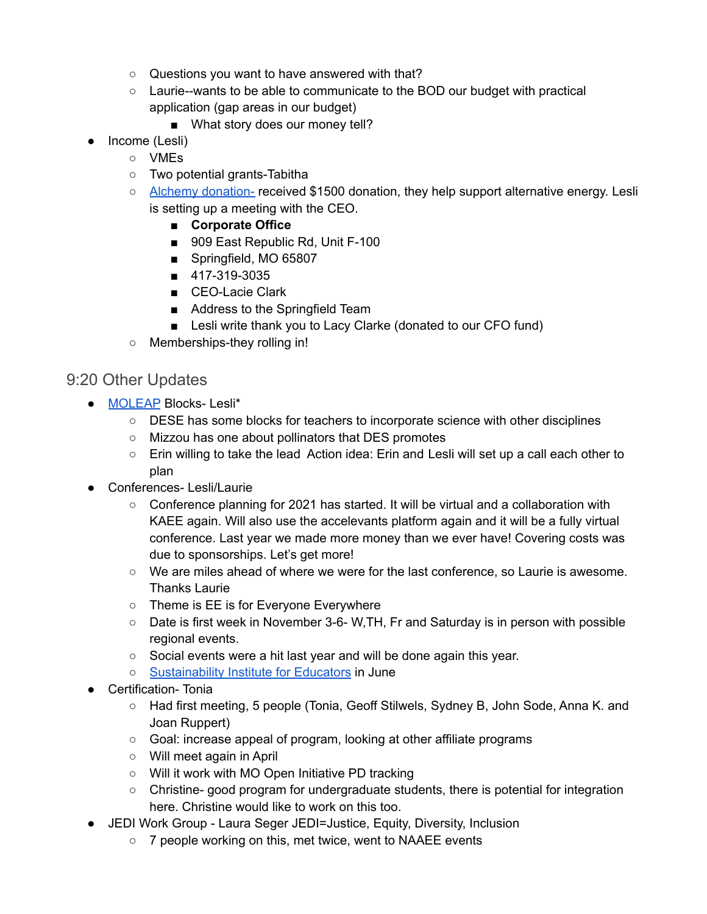- Questions you want to have answered with that?
- $\circ$  Laurie--wants to be able to communicate to the BOD our budget with practical application (gap areas in our budget)
	- What story does our money tell?
- Income (Lesli)
	- VMEs
	- Two potential grants-Tabitha
	- Alchemy [donation-](https://alchemyenergy.com/) received \$1500 donation, they help support alternative energy. Lesli is setting up a meeting with the CEO.
		- **Corporate Office**
		- 909 East Republic Rd, Unit F-100
		- Springfield, MO 65807
		- 417-319-3035
		- CEO-Lacie Clark
		- Address to the Springfield Team
		- Lesli write thank you to Lacy Clarke (donated to our CFO fund)
	- Memberships-they rolling in!

#### 9:20 Other Updates

- [MOLEAP](https://sites.google.com/view/moleap/home?authuser=0) Blocks- Lesli\*
	- DESE has some blocks for teachers to incorporate science with other disciplines
	- Mizzou has one about pollinators that DES promotes
	- Erin willing to take the lead Action idea: Erin and Lesli will set up a call each other to plan
- Conferences- Lesli/Laurie
	- $\circ$  Conference planning for 2021 has started. It will be virtual and a collaboration with KAEE again. Will also use the accelevants platform again and it will be a fully virtual conference. Last year we made more money than we ever have! Covering costs was due to sponsorships. Let's get more!
	- We are miles ahead of where we were for the last conference, so Laurie is awesome. Thanks Laurie
	- Theme is EE is for Everyone Everywhere
	- Date is first week in November 3-6- W,TH, Fr and Saturday is in person with possible regional events.
	- Social events were a hit last year and will be done again this year.
	- [Sustainability](https://legacy.webster.edu/education/news-events/sustainability-institute.html) Institute for Educators in June
- Certification- Tonia
	- Had first meeting, 5 people (Tonia, Geoff Stilwels, Sydney B, John Sode, Anna K. and Joan Ruppert)
	- Goal: increase appeal of program, looking at other affiliate programs
	- Will meet again in April
	- Will it work with MO Open Initiative PD tracking
	- Christine- good program for undergraduate students, there is potential for integration here. Christine would like to work on this too.
- JEDI Work Group Laura Seger JEDI=Justice, Equity, Diversity, Inclusion
	- 7 people working on this, met twice, went to NAAEE events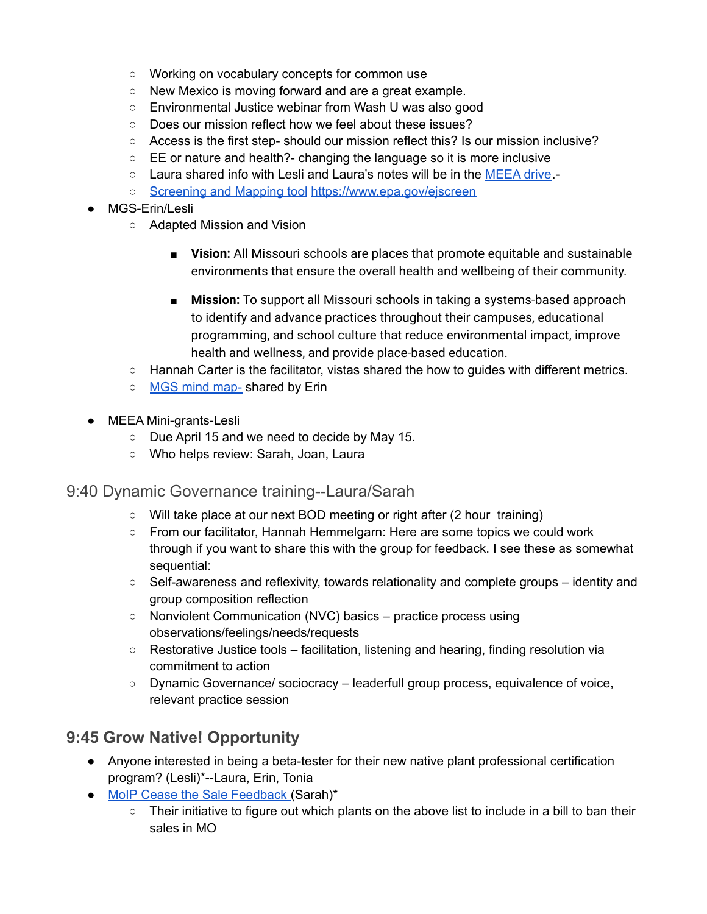- Working on vocabulary concepts for common use
- New Mexico is moving forward and are a great example.
- Environmental Justice webinar from Wash U was also good
- Does our mission reflect how we feel about these issues?
- Access is the first step- should our mission reflect this? Is our mission inclusive?
- EE or nature and health?- changing the language so it is more inclusive
- Laura shared info with Lesli and Laura's notes will be in the [MEEA](https://drive.google.com/drive/folders/1bBIO_30D-_pxkN-mzQD06z3sTYSNKQgy?usp=sharing) drive.-
- [Screening](https://www.epa.gov/ejscreen) and Mapping tool <https://www.epa.gov/ejscreen>
- MGS-Erin/Lesli
	- Adapted Mission and Vision
		- **Vision:** All Missouri schools are places that promote equitable and sustainable environments that ensure the overall health and wellbeing of their community.
		- **Mission:** To support all Missouri schools in taking a systems-based approach to identify and advance practices throughout their campuses, educational programming, and school culture that reduce environmental impact, improve health and wellness, and provide place-based education.
	- Hannah Carter is the facilitator, vistas shared the how to guides with different metrics.
	- MGS mind [map-](https://docs.google.com/presentation/d/1T1Mwtc1TgAgGDv_3lE4UQ88H2Kuh5MufRvMPrOBNxEc/edit#slide=id.gbb625bd00e_0_99) shared by Erin
- MEEA Mini-grants-Lesli
	- Due April 15 and we need to decide by May 15.
	- Who helps review: Sarah, Joan, Laura

### 9:40 Dynamic Governance training--Laura/Sarah

- Will take place at our next BOD meeting or right after (2 hour training)
- From our facilitator, Hannah Hemmelgarn: Here are some topics we could work through if you want to share this with the group for feedback. I see these as somewhat sequential:
- Self-awareness and reflexivity, towards relationality and complete groups identity and group composition reflection
- Nonviolent Communication (NVC) basics practice process using observations/feelings/needs/requests
- $\circ$  Restorative Justice tools facilitation, listening and hearing, finding resolution via commitment to action
- Dynamic Governance/ sociocracy leaderfull group process, equivalence of voice, relevant practice session

## **9:45 Grow Native! Opportunity**

- Anyone interested in being a beta-tester for their new native plant professional certification program? (Lesli)\*--Laura, Erin, Tonia
- MoIP Cease the Sale [Feedback](https://docs.google.com/spreadsheets/d/1Il92DwHP_8vu9MRVUxRgC83OhRbcCNfjmlrzWDvZvpE/edit?usp=sharing) (Sarah)\*
	- Their initiative to figure out which plants on the above list to include in a bill to ban their sales in MO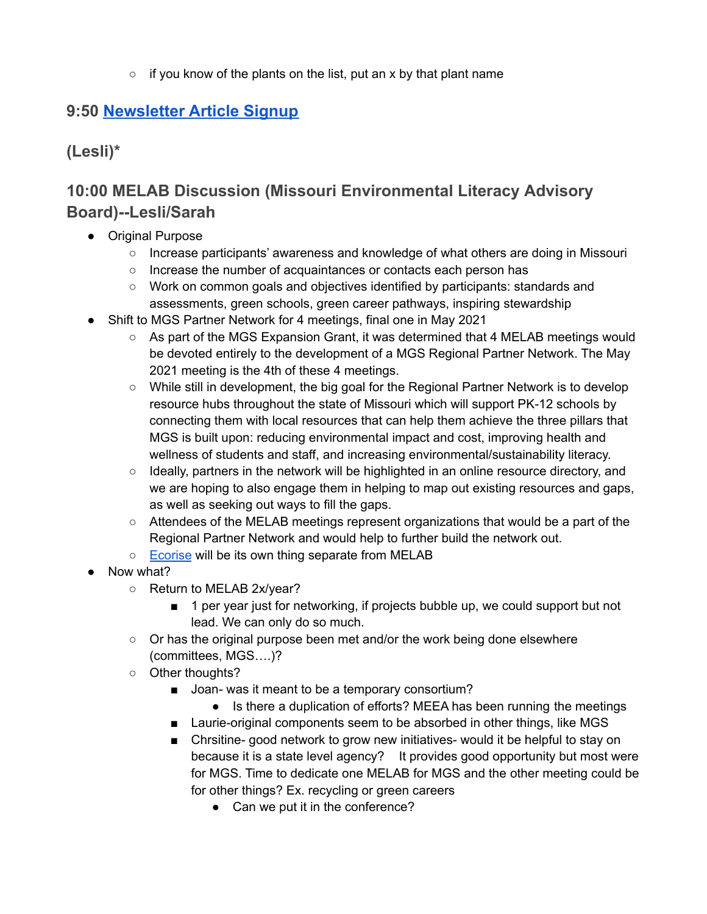$\circ$  if you know of the plants on the list, put an x by that plant name

## **9:50 [Newsletter](https://docs.google.com/spreadsheets/d/1S1I2ryPA-7jpQWl-TIYUxYkNNmztZ_sW1os4pvf-DQ0/edit?usp=drive_web&ouid=113187876284413458204) Article Signup**

**(Lesli)\***

## **10:00 MELAB Discussion (Missouri Environmental Literacy Advisory Board)--Lesli/Sarah**

- Original Purpose
	- Increase participants' awareness and knowledge of what others are doing in Missouri
	- Increase the number of acquaintances or contacts each person has
	- Work on common goals and objectives identified by participants: standards and assessments, green schools, green career pathways, inspiring stewardship
- Shift to MGS Partner Network for 4 meetings, final one in May 2021
	- As part of the MGS Expansion Grant, it was determined that 4 MELAB meetings would be devoted entirely to the development of a MGS Regional Partner Network. The May 2021 meeting is the 4th of these 4 meetings.
	- While still in development, the big goal for the Regional Partner Network is to develop resource hubs throughout the state of Missouri which will support PK-12 schools by connecting them with local resources that can help them achieve the three pillars that MGS is built upon: reducing environmental impact and cost, improving health and wellness of students and staff, and increasing environmental/sustainability literacy.
	- Ideally, partners in the network will be highlighted in an online resource directory, and we are hoping to also engage them in helping to map out existing resources and gaps, as well as seeking out ways to fill the gaps.
	- Attendees of the MELAB meetings represent organizations that would be a part of the Regional Partner Network and would help to further build the network out.
	- [Ecorise](https://www.ecorise.org/) will be its own thing separate from MELAB
- Now what?
	- Return to MELAB 2x/year?
		- 1 per year just for networking, if projects bubble up, we could support but not lead. We can only do so much.
	- $\circ$  Or has the original purpose been met and/or the work being done elsewhere (committees, MGS….)?
	- Other thoughts?
		- Joan- was it meant to be a temporary consortium?
			- Is there a duplication of efforts? MEEA has been running the meetings
		- Laurie-original components seem to be absorbed in other things, like MGS
		- Chrsitine- good network to grow new initiatives- would it be helpful to stay on because it is a state level agency? It provides good opportunity but most were for MGS. Time to dedicate one MELAB for MGS and the other meeting could be for other things? Ex. recycling or green careers
			- Can we put it in the conference?